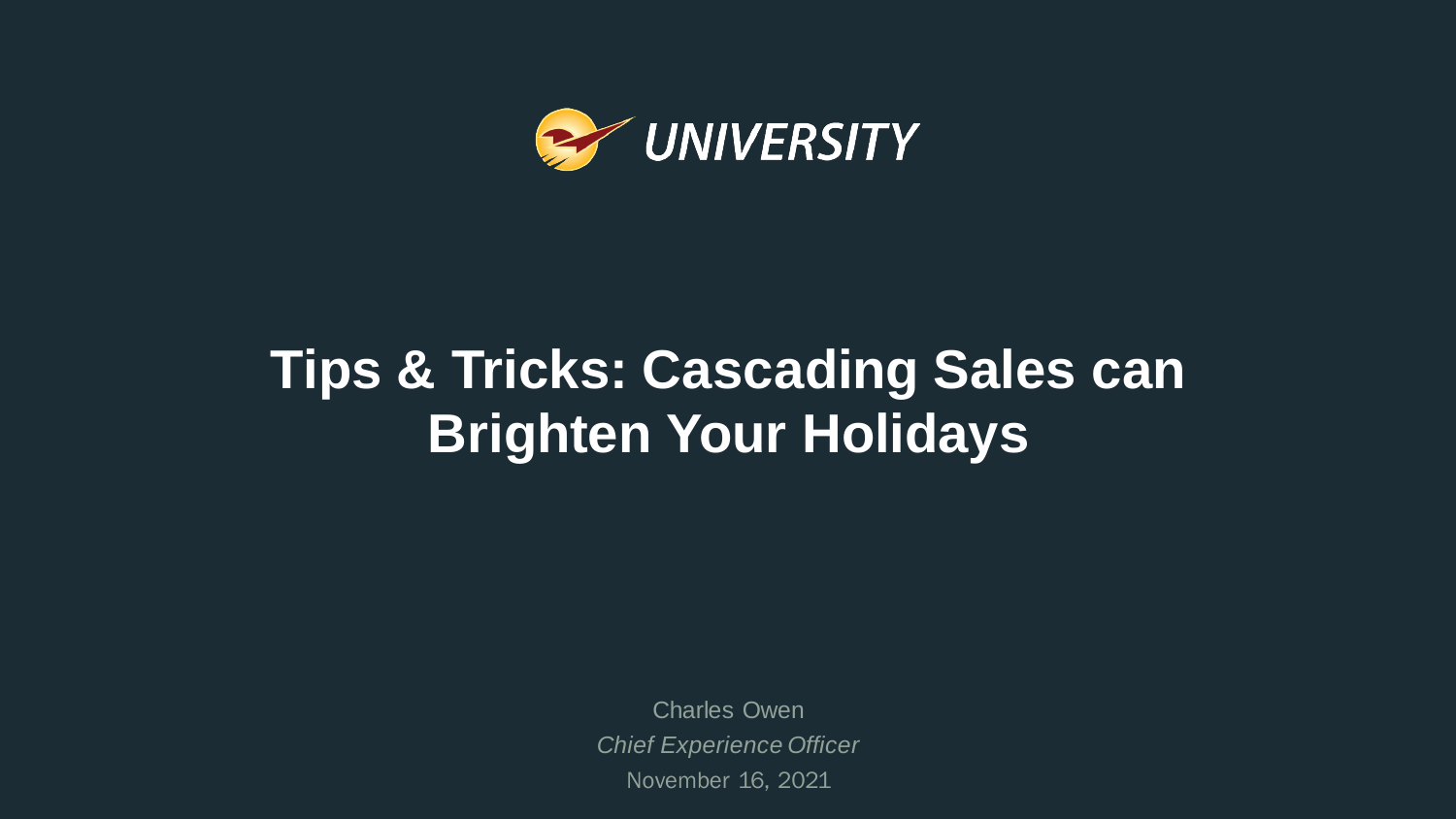

## **Tips & Tricks: Cascading Sales can Brighten Your Holidays**

Charles Owen *Chief Experience Officer* November 16, 2021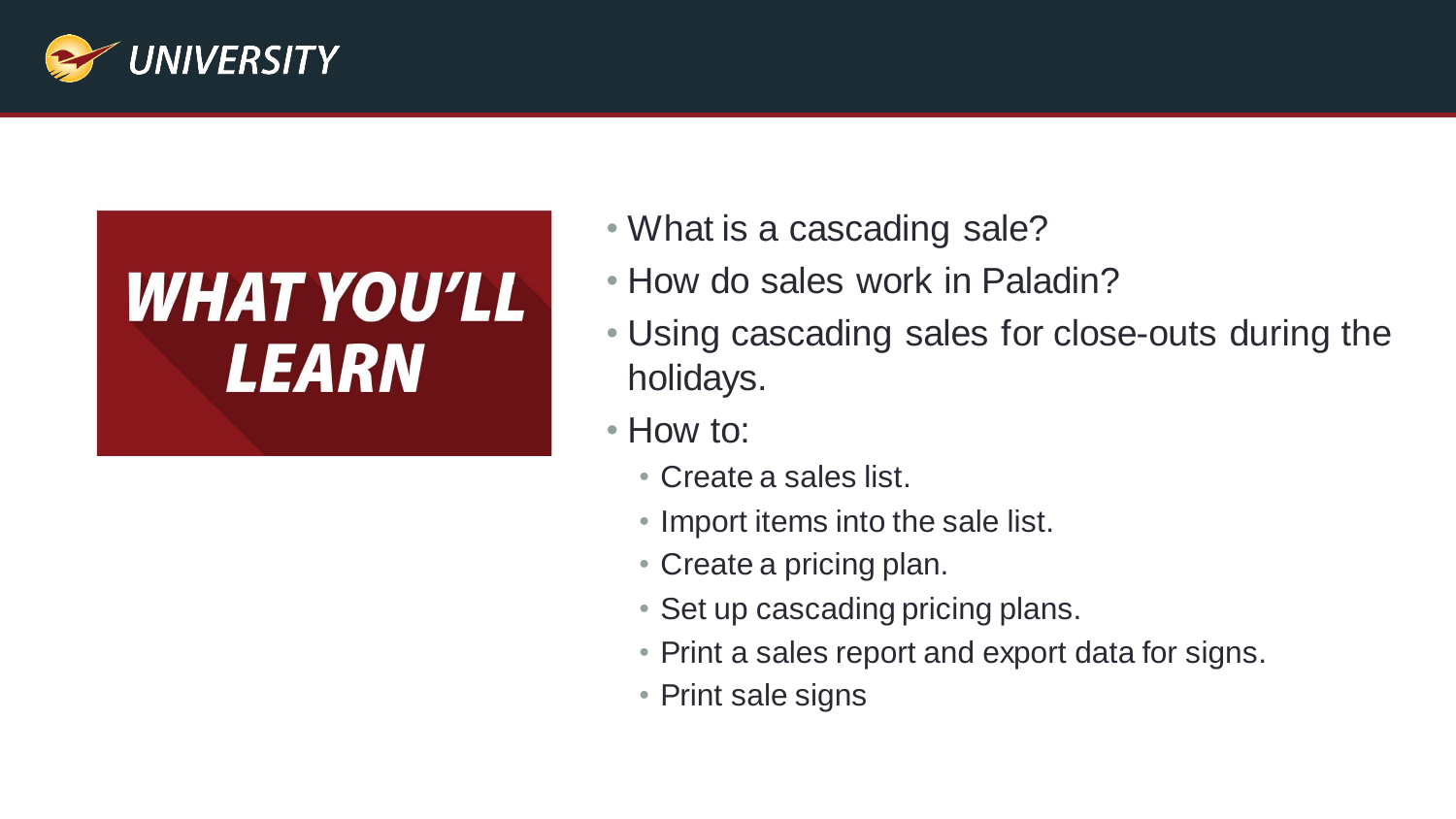

## *WHAT YOU'LL* LEARN

- What is a cascading sale?
- How do sales work in Paladin?
- Using cascading sales for close-outs during the holidays.
- How to:
	- Create a sales list.
	- Import items into the sale list.
	- Create a pricing plan.
	- Set up cascading pricing plans.
	- Print a sales report and export data for signs.
	- Print sale signs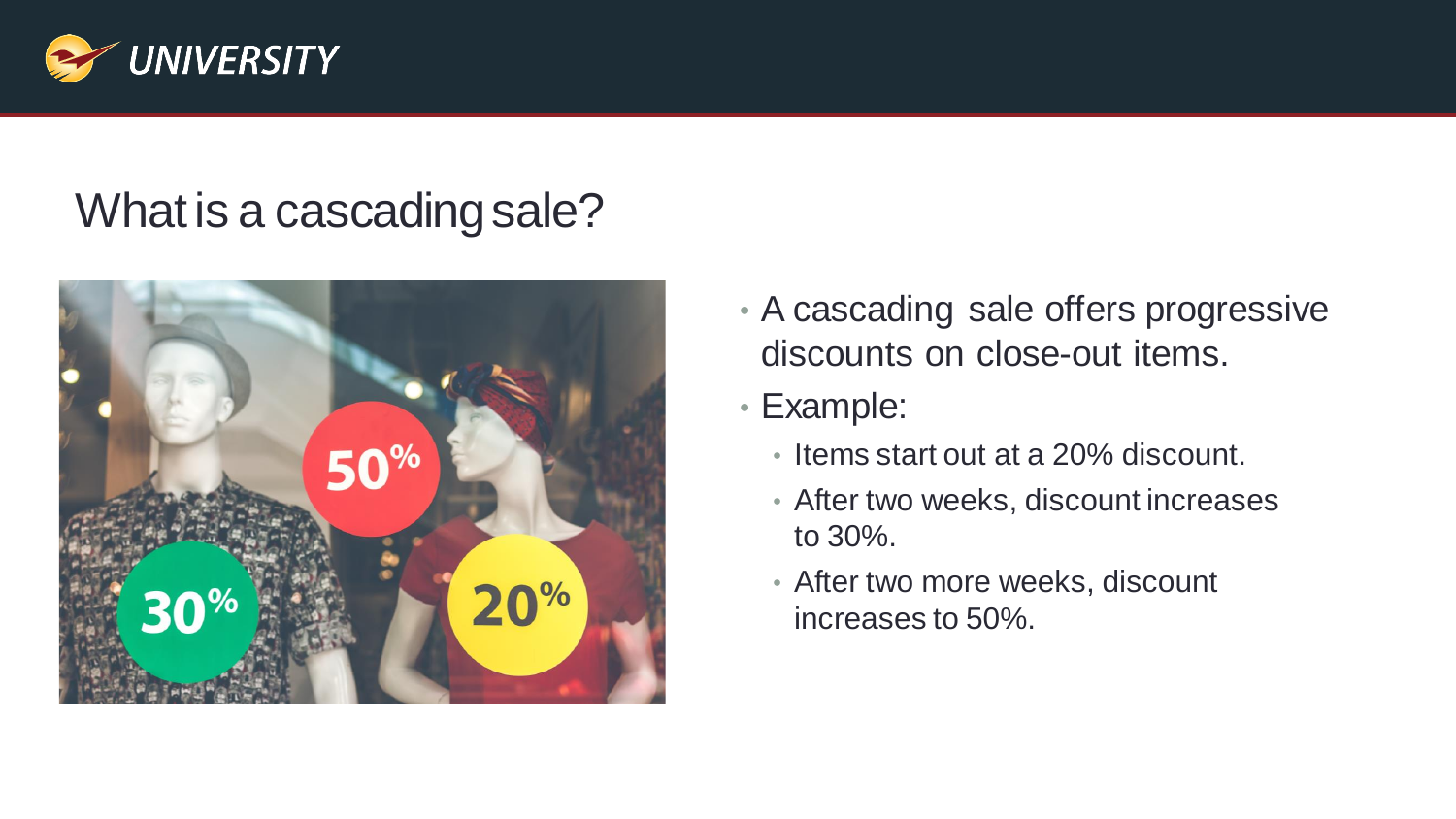

#### What is a cascading sale?



- A cascading sale offers progressive discounts on close-out items.
- Example:
	- Items start out at a 20% discount.
	- After two weeks, discount increases to 30%.
	- After two more weeks, discount increases to 50%.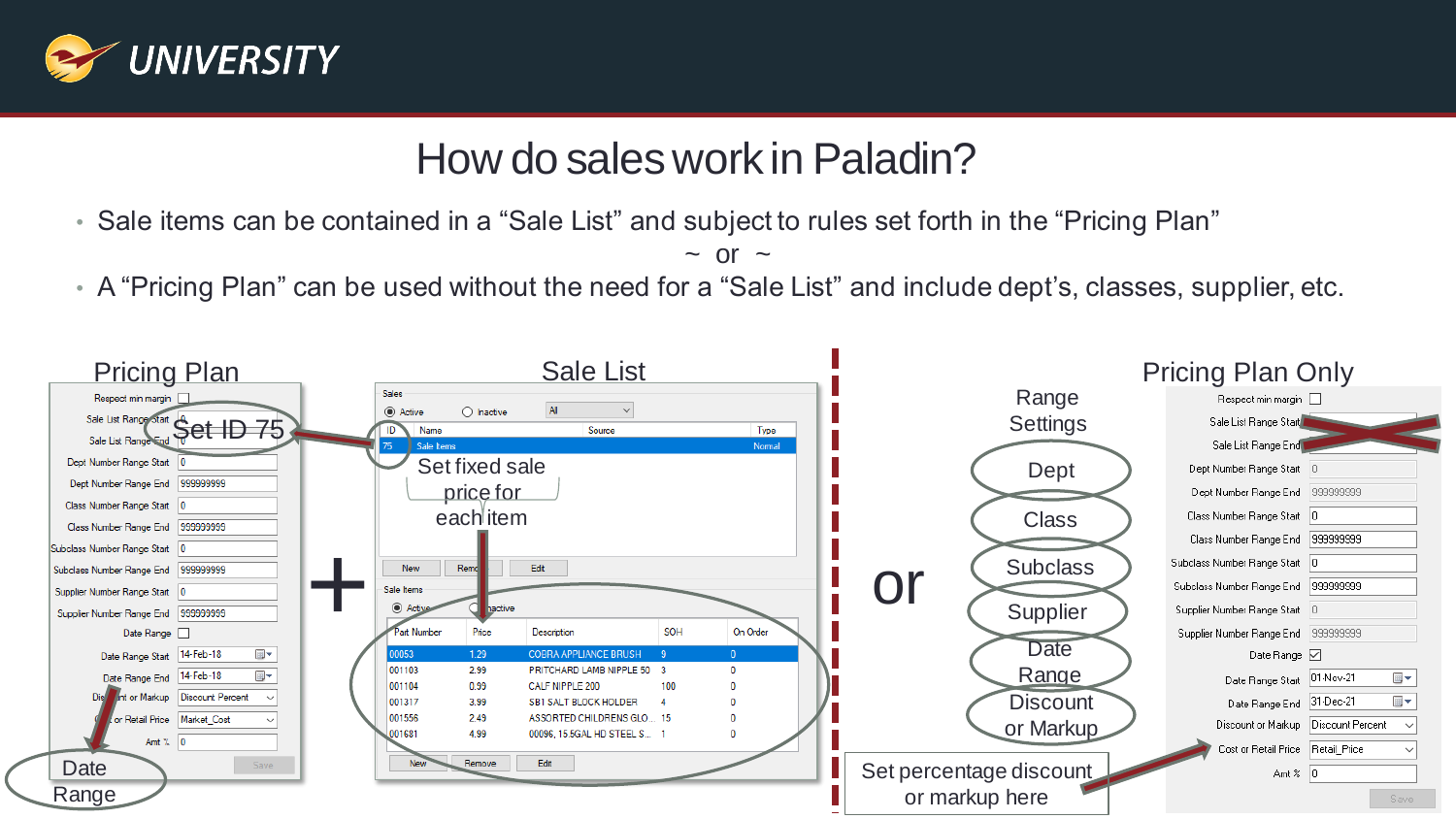

#### How do sales work in Paladin?

• Sale items can be contained in a "Sale List" and subject to rules set forth in the "Pricing Plan"

 $\sim$  or  $\sim$ 

• A "Pricing Plan" can be used without the need for a "Sale List" and include dept's, classes, supplier, etc.

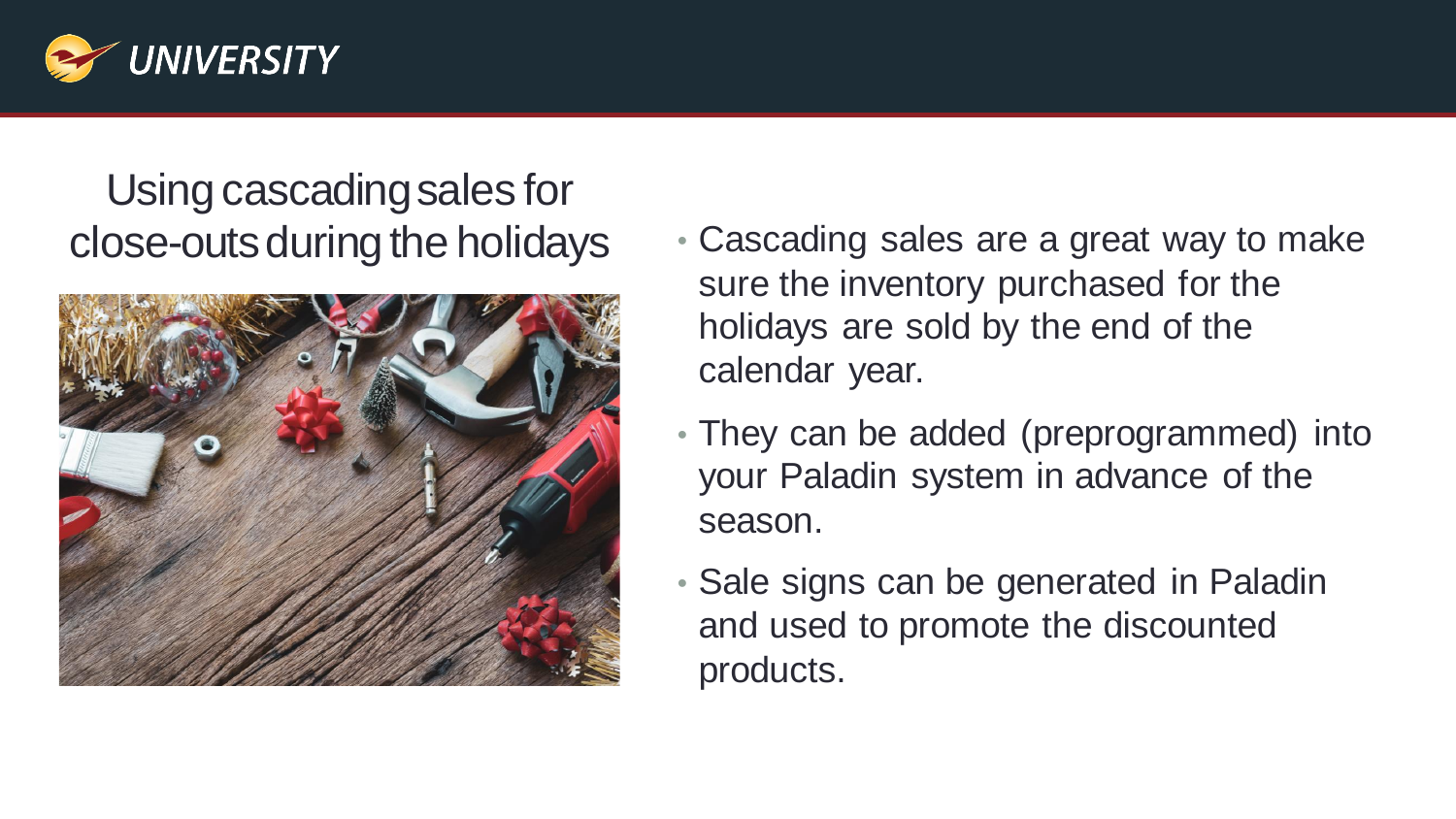

# Using cascading sales for



- close-outsduring the holidays Cascading sales are a great way to make sure the inventory purchased for the holidays are sold by the end of the calendar year.
	- They can be added (preprogrammed) into your Paladin system in advance of the season.
	- Sale signs can be generated in Paladin and used to promote the discounted products.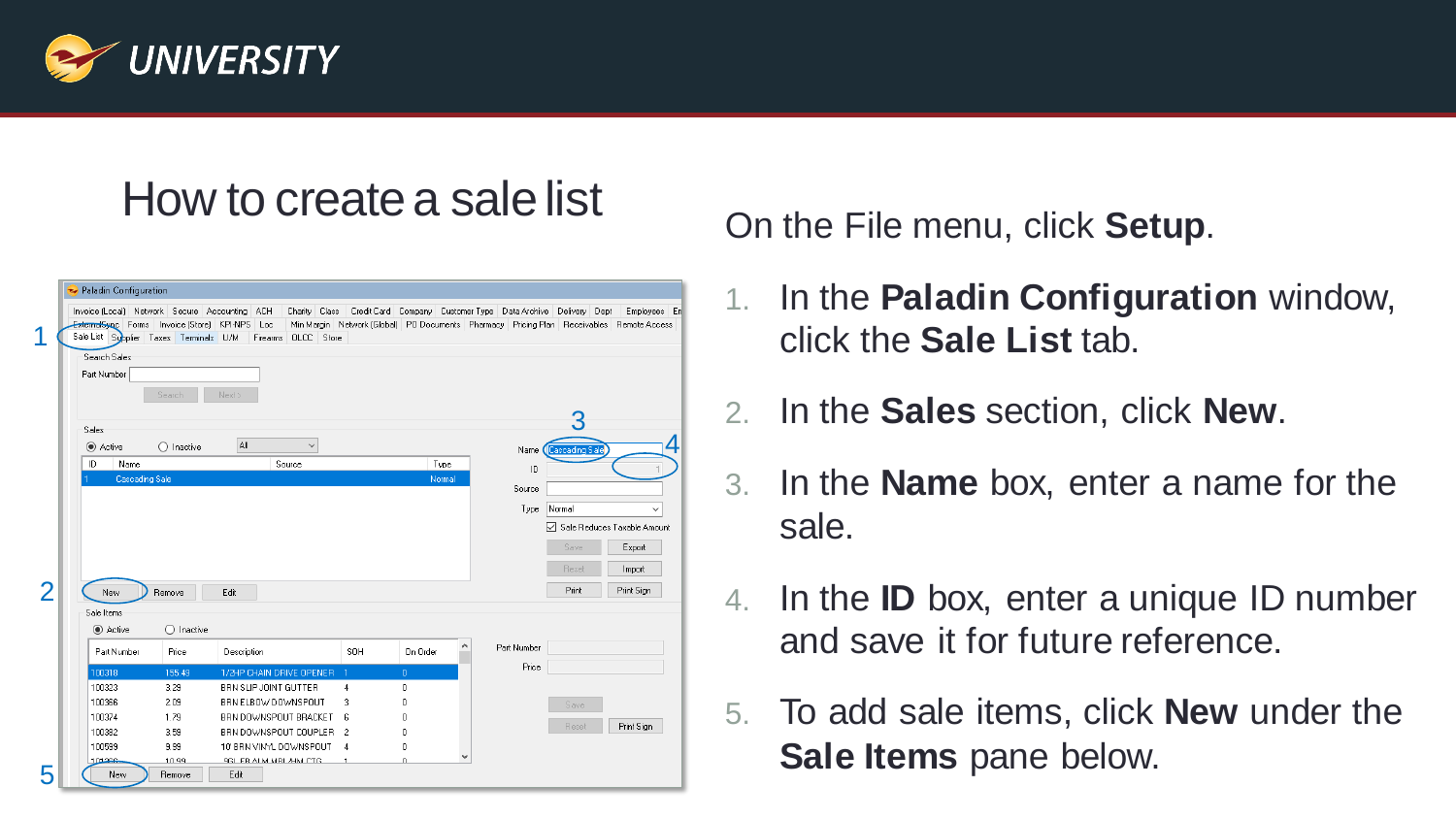

1

## How to create a sale list On the File menu, click **Setup**.

|                                                                                      |                     | Invoice (Local) Network   Secure   Accounting   ACH | Charity Class                                                                                                                   | Credit Card   Company   Customer Type   Data Archive   Delivery   Dept |                |   |             |               | Employees En                |
|--------------------------------------------------------------------------------------|---------------------|-----------------------------------------------------|---------------------------------------------------------------------------------------------------------------------------------|------------------------------------------------------------------------|----------------|---|-------------|---------------|-----------------------------|
| ExternalSync Forms Invoice (Store) KPI-NPS<br>Sale List Supplier Taxes Terminals U/M |                     | Loc                                                 | Min Margin   Network (Global)   PO Documents   Pharmacy   Pricing Plan   Receivables   Remote Access<br>Firearms   OLCC   Store |                                                                        |                |   |             |               |                             |
| Search Sales                                                                         |                     |                                                     |                                                                                                                                 |                                                                        |                |   |             |               |                             |
| Part Number                                                                          |                     |                                                     |                                                                                                                                 |                                                                        |                |   |             |               |                             |
|                                                                                      |                     |                                                     |                                                                                                                                 |                                                                        |                |   |             |               |                             |
|                                                                                      | Search              | Next >                                              |                                                                                                                                 |                                                                        |                |   |             |               |                             |
|                                                                                      |                     |                                                     |                                                                                                                                 |                                                                        |                |   |             |               |                             |
| Sales                                                                                |                     |                                                     |                                                                                                                                 |                                                                        |                |   |             |               |                             |
| Active                                                                               | $\bigcirc$ Inactive | All                                                 | $\checkmark$                                                                                                                    |                                                                        |                |   | Name        | lascading Sak |                             |
| ID<br>Name                                                                           |                     |                                                     | Source                                                                                                                          |                                                                        | Type           |   | ID          |               |                             |
|                                                                                      | Cascading Sale      |                                                     |                                                                                                                                 |                                                                        | Normal         |   | Source      |               |                             |
|                                                                                      |                     |                                                     |                                                                                                                                 |                                                                        |                |   |             |               |                             |
|                                                                                      |                     |                                                     |                                                                                                                                 |                                                                        |                |   | Type        | Normal        | $\checkmark$                |
|                                                                                      |                     |                                                     |                                                                                                                                 |                                                                        |                |   |             |               |                             |
|                                                                                      |                     |                                                     |                                                                                                                                 |                                                                        |                |   |             |               | Sale Reduces Taxable Amount |
|                                                                                      |                     |                                                     |                                                                                                                                 |                                                                        |                |   |             | Save          | Export                      |
|                                                                                      |                     |                                                     |                                                                                                                                 |                                                                        |                |   |             |               |                             |
|                                                                                      |                     |                                                     |                                                                                                                                 |                                                                        |                |   |             | Reset         | Import                      |
| New                                                                                  | Remove              | Edit                                                |                                                                                                                                 |                                                                        |                |   |             | Print         | Print Sign                  |
| Sale Items                                                                           |                     |                                                     |                                                                                                                                 |                                                                        |                |   |             |               |                             |
| Active                                                                               | $\bigcirc$ Inactive |                                                     |                                                                                                                                 |                                                                        |                |   |             |               |                             |
| Part Number                                                                          | Price               | Description                                         |                                                                                                                                 | SOH                                                                    | On Order       | ۸ | Part Number |               |                             |
|                                                                                      |                     |                                                     |                                                                                                                                 |                                                                        |                |   | Price       |               |                             |
| 100318                                                                               | 155.49              | 1/2HP CHAIN DRIVE OPENER.                           |                                                                                                                                 | $^{-1}$                                                                | $\overline{0}$ |   |             |               |                             |
| 100323                                                                               | 3.29                | BRN SLIP JOINT GUTTER                               |                                                                                                                                 | 4                                                                      | 0              |   |             |               |                             |
| 100366                                                                               | 2.09                | BRN ELBOW DOWNSPOUT                                 |                                                                                                                                 | 3                                                                      | $\Omega$       |   |             | Save          |                             |
| 100374<br>100382                                                                     | 1.79<br>3.59        | BRN DOWNSPOUT BRACKET                               |                                                                                                                                 | 6<br>-2                                                                | 0<br>0         |   |             | Reset         | Print Sign                  |
| 100599                                                                               | 9.99                | BRN DOWNSPOUT COUPLER<br>10' BRN VINYL DOWNSPOUT    |                                                                                                                                 | 4                                                                      | 0              |   |             |               |                             |

- 1. In the **Paladin Configuration** window, click the **Sale List** tab.
- 2. In the **Sales** section, click **New**.
- 3. In the **Name** box, enter a name for the sale.
- 4. In the **ID** box, enter a unique ID number and save it for future reference.
- 5. To add sale items, click **New** under the **Sale Items** pane below.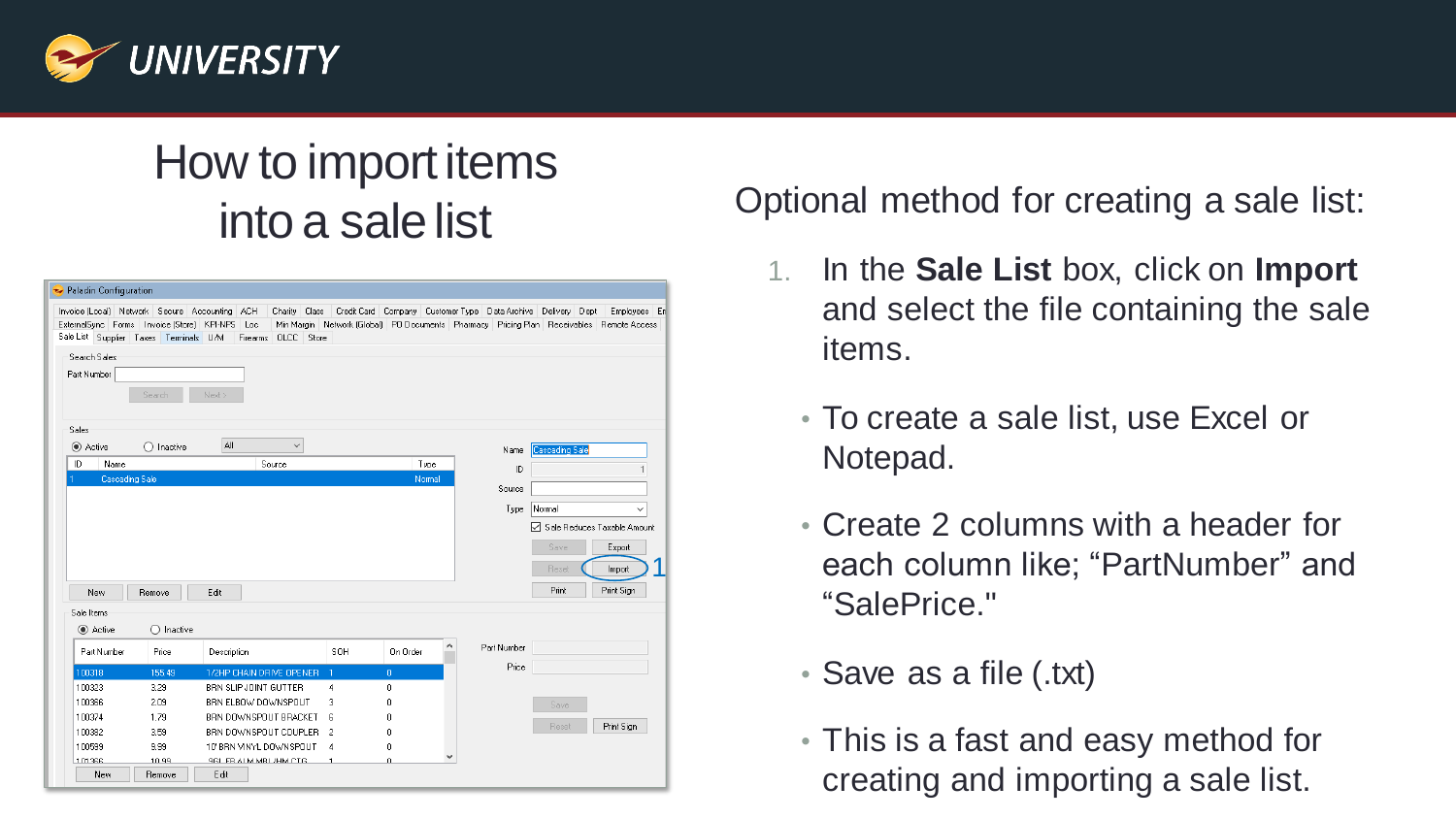

# How to import items

|                                                | Invoice (Local) Network Secure Accounting ACH          | Charity Class                 |              | Credit Card   Company   Customer Type   Data Archive   Delivery   Dept                   |   |             |                | Employees En                |
|------------------------------------------------|--------------------------------------------------------|-------------------------------|--------------|------------------------------------------------------------------------------------------|---|-------------|----------------|-----------------------------|
|                                                | ExternalSync   Forms   Invoice (Store)   KPI-NPS   Loc |                               |              | Min Margin Network (Global) PO Documents Pharmacy Pricing Plan Receivables Remote Access |   |             |                |                             |
|                                                | Sale List Supplier Taxes Terminals U/M                 | Firearms   OLCC   Store       |              |                                                                                          |   |             |                |                             |
| Search Sales                                   |                                                        |                               |              |                                                                                          |   |             |                |                             |
| Part Number                                    |                                                        |                               |              |                                                                                          |   |             |                |                             |
|                                                | Search                                                 | Next >                        |              |                                                                                          |   |             |                |                             |
|                                                |                                                        |                               |              |                                                                                          |   |             |                |                             |
| Sales                                          |                                                        |                               |              |                                                                                          |   |             |                |                             |
| Active                                         | $\bigcirc$ Inactive                                    | All<br>$\checkmark$           |              |                                                                                          |   | Name        | Cascading Sale |                             |
| ID<br>Name                                     |                                                        | Source                        |              | Type                                                                                     |   | ID          |                |                             |
| Cascading Sale                                 |                                                        |                               |              | Normal                                                                                   |   |             |                |                             |
|                                                |                                                        |                               |              |                                                                                          |   | Source      |                |                             |
|                                                |                                                        |                               |              |                                                                                          |   | Type        | Normal         | $\check{ }$                 |
|                                                |                                                        |                               |              |                                                                                          |   |             |                |                             |
|                                                |                                                        |                               |              |                                                                                          |   |             |                | Sale Reduces Taxable Amount |
|                                                |                                                        |                               |              |                                                                                          |   |             |                |                             |
|                                                |                                                        |                               |              |                                                                                          |   |             | Save           | Export                      |
|                                                |                                                        |                               |              |                                                                                          |   |             | Reset          | Import                      |
|                                                |                                                        |                               |              |                                                                                          |   |             | Print          | Print Sign                  |
| New                                            | Remove                                                 | Edit                          |              |                                                                                          |   |             |                |                             |
| Sale Items                                     |                                                        |                               |              |                                                                                          |   |             |                |                             |
| <b>●</b> Active                                | $\bigcirc$ Inactive                                    |                               |              |                                                                                          |   |             |                |                             |
| Part Number                                    | Price                                                  | Description                   | SOH          | On Order                                                                                 | ۸ | Part Number |                |                             |
| 100318                                         | 155.49                                                 | 1/2HP CHAIN DRIVE OPENER      | $\mathbf{1}$ | $\overline{0}$                                                                           |   | Price       |                |                             |
|                                                | 3.29                                                   | BRN SLIP JOINT GUTTER         | 4            | 0                                                                                        |   |             |                |                             |
|                                                | 2.09                                                   | BRN ELBOW DOWNSPOUT           | 3            | 0                                                                                        |   |             | Save           |                             |
|                                                | 1.79                                                   | BRN DOWNSPOUT BRACKET         | 6            | 0                                                                                        |   |             |                |                             |
|                                                | 3.59                                                   | BRN DOWNSPOUT COUPLER         | 2            | 0                                                                                        |   |             | Reset          | Print Sign                  |
| 100323<br>100366<br>100374<br>100382<br>100599 | 9.99                                                   | 10' BRN VINYL DOWNSPOUT       | 4            | 0                                                                                        |   |             |                |                             |
| 101366                                         | 10.99                                                  | <b>GGL ER ALM MRL /HM CTG</b> | 1.           | $\Omega$                                                                                 |   |             |                |                             |

into a sale list <sup>Optional</sup> method for creating a sale list:

- 1. In the **Sale List** box, click on **Import** and select the file containing the sale items.
	- To create a sale list, use Excel or Notepad.
	- Create 2 columns with a header for each column like; "PartNumber" and "SalePrice."
	- Save as a file (.txt)
	- This is a fast and easy method for creating and importing a sale list.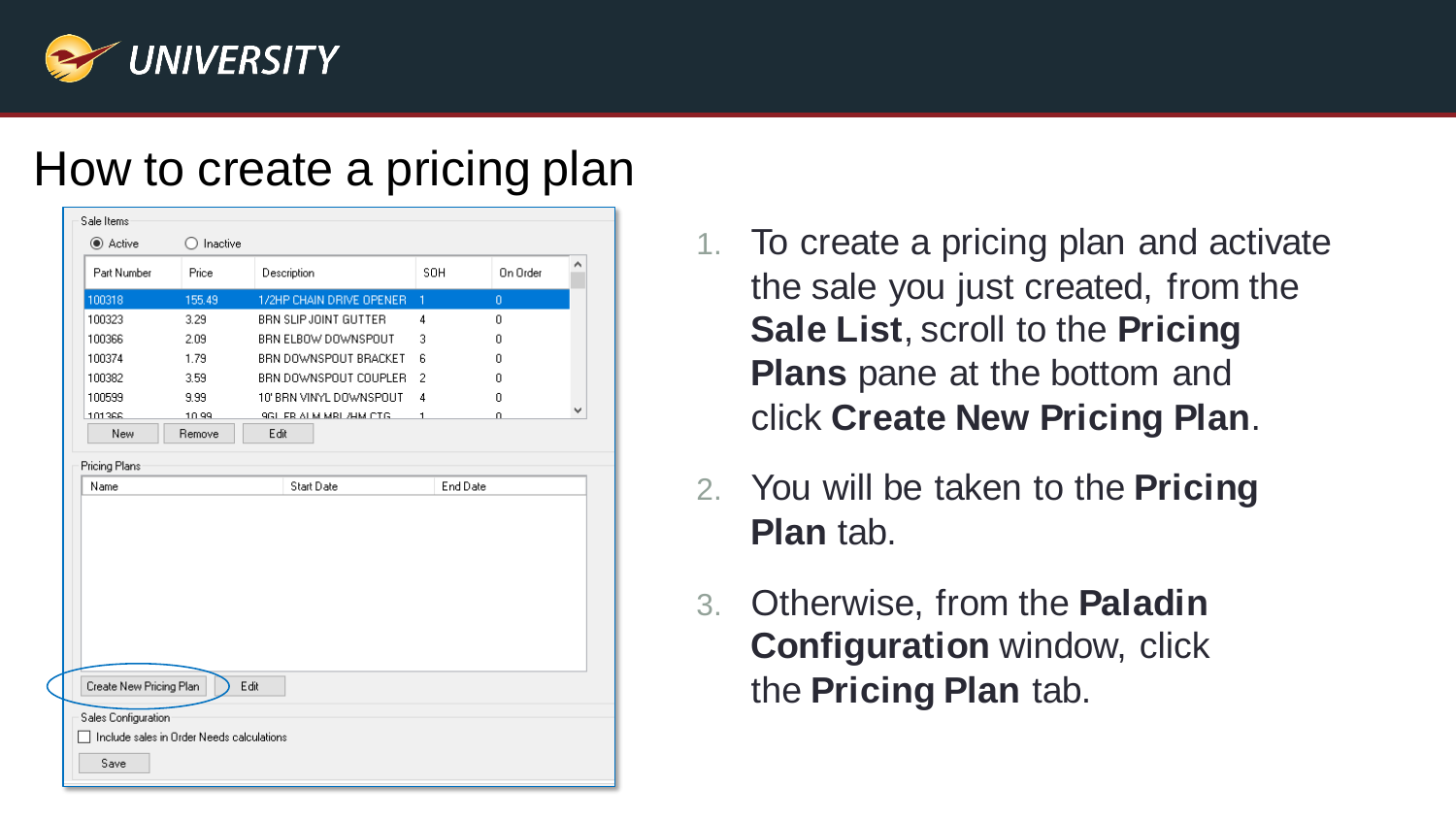

#### How to create a pricing plan

| Part Number                                    | Price                                     | Description                   | SOH          | On Order       | Α |
|------------------------------------------------|-------------------------------------------|-------------------------------|--------------|----------------|---|
|                                                |                                           |                               |              |                |   |
| 100318                                         | 155.49                                    | 1/2HP CHAIN DRIVE OPENER      | $\mathbf{1}$ | $\overline{0}$ |   |
| 100323                                         | 3.29                                      | BRN SLIP JOINT GUTTER         | 4            | 0              |   |
| 100366                                         | 2.09                                      | BRN ELBOW DOWNSPOUT           | 3            | 0              |   |
| 100374                                         | 1.79                                      | BRN DOWNSPOUT BRACKET         | 6            | 0              |   |
| 100382                                         | 3.59                                      | BRN DOWNSPOUT COUPLER         | 2            | 0              |   |
| 100599                                         | 9.99                                      | 10'BRN VINYL DOWNSPOUT        | 4            | 0              |   |
| 101366                                         | 10.99                                     | <b>9GL FRIALM MRL /HM CTG</b> | 1            | $\Omega$       |   |
| <b>New</b>                                     | Remove                                    | Edit                          |              |                |   |
| Name                                           |                                           | Start Date                    | End Date     |                |   |
|                                                |                                           |                               |              |                |   |
| Create New Pricing Plan<br>Sales Configuration | Include sales in Order Needs calculations | Edit                          |              |                |   |

- 1. To create a pricing plan and activate the sale you just created, from the **Sale List**, scroll to the **Pricing Plans** pane at the bottom and click **Create New Pricing Plan**.
- 2. You will be taken to the **Pricing Plan** tab.
- 3. Otherwise, from the **Paladin Configuration** window, click the **Pricing Plan** tab.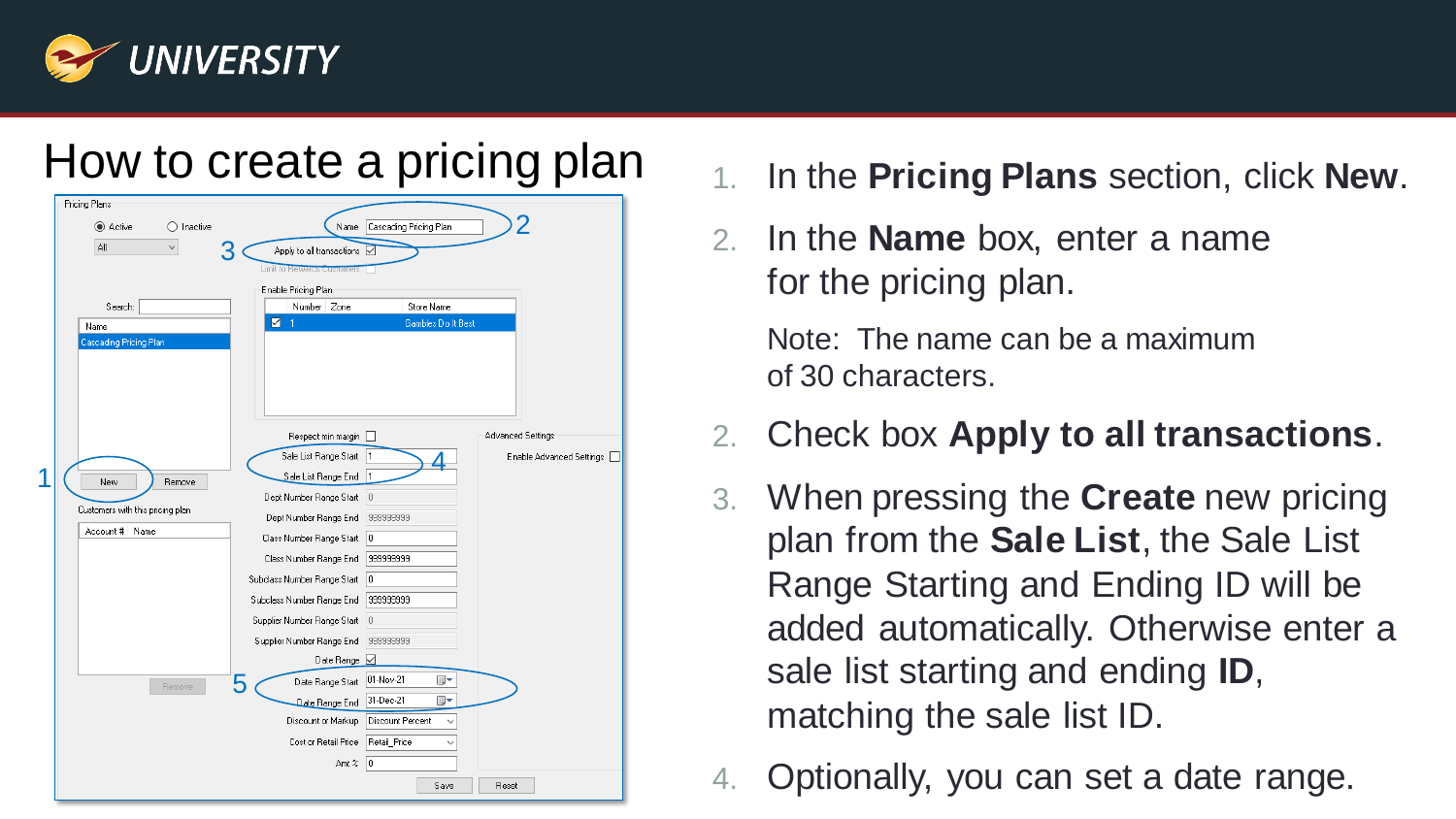

|   |                                                |                                                                            |                                  | How to create a pricing plan |
|---|------------------------------------------------|----------------------------------------------------------------------------|----------------------------------|------------------------------|
|   | Pricing Plans<br>Active<br>$\bigcirc$ Inactive | Name                                                                       | Cascading Pricing Plan           |                              |
|   | ΑI                                             | Apply to all transactions $\vartriangledown$<br>Limit to Rewards Customers |                                  |                              |
|   | Search:<br>Name                                | Enable Pricing Plan<br>Number<br>Zone<br>☑<br>-1                           | Store Name<br>Gambles Do It Best |                              |
|   | Cascading Pricing Plan                         |                                                                            |                                  |                              |
|   |                                                | Respect min margin                                                         |                                  | Advanced Settings            |
|   |                                                | Sale List Range Start                                                      | 11                               | Enable Advanced Settings     |
| 1 | New<br>Remove                                  | Sale List Range End                                                        | 11                               |                              |
|   | Customers with this pricing plan               | Dept Number Range Start                                                    | 0                                |                              |
|   | Account #<br>Name                              | Dept Number Range End                                                      | 999999999                        |                              |
|   |                                                | Class Number Range Start                                                   | 0                                |                              |
|   |                                                | Class Number Range End                                                     | 999999999                        |                              |
|   |                                                | Subclass Number Range Start                                                | 10                               |                              |
|   |                                                | Subclass Number Range End                                                  | 999999999                        |                              |
|   |                                                | Supplier Number Range Start                                                | $\vert 0 \vert$                  |                              |
|   |                                                | Supplier Number Range End                                                  | 999999999                        |                              |
|   |                                                | Date Range $\boxdot$                                                       |                                  |                              |
|   | Remove                                         | 5<br>Date Range Start                                                      | 01-Nov-21<br>▦▾                  |                              |
|   |                                                | Date Range End                                                             | 31-Dec-21<br>▦▾                  |                              |
|   |                                                | Discount or Markup                                                         | Discount Percent<br>$\checkmark$ |                              |
|   |                                                | Cost or Retail Price                                                       | Retail Price                     |                              |
|   |                                                | Amt %                                                                      | 10                               |                              |
|   |                                                |                                                                            | Save                             | Reset                        |

#### 1. In the **Pricing Plans** section, click **New.**

2. In the **Name** box, enter a name for the pricing plan.

Note: The name can be a maximum of 30 characters.

#### 2. Check box **Apply to all transactions**.

- 3. When pressing the **Create** new pricing plan from the **Sale List**, the Sale List Range Starting and Ending ID will be added automatically. Otherwise enter a sale list starting and ending **ID**, matching the sale list ID.
- 4. Optionally, you can set a date range.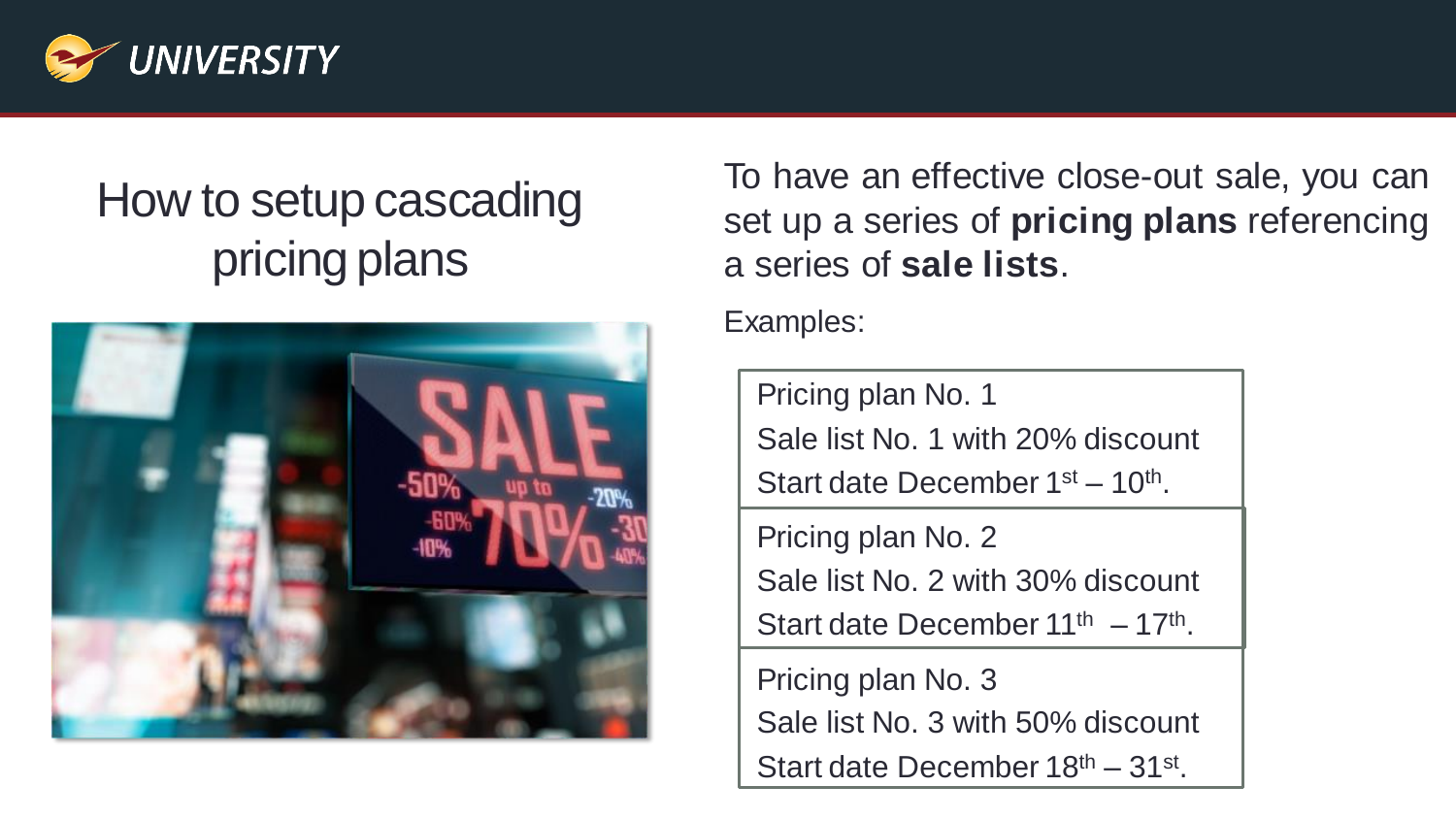

## How to setup cascading pricing plans



To have an effective close-out sale, you can set up a series of **pricing plans** referencing a series of **sale lists**.

Examples:

Pricing plan No. 1

Sale list No. 1 with 20% discount

Start date December  $1<sup>st</sup> - 10<sup>th</sup>$ .

Pricing plan No. 2

Sale list No. 2 with 30% discount

Start date December  $11^{th} - 17^{th}$ .

Pricing plan No. 3 Sale list No. 3 with 50% discount Start date December 18<sup>th</sup> – 31<sup>st</sup>.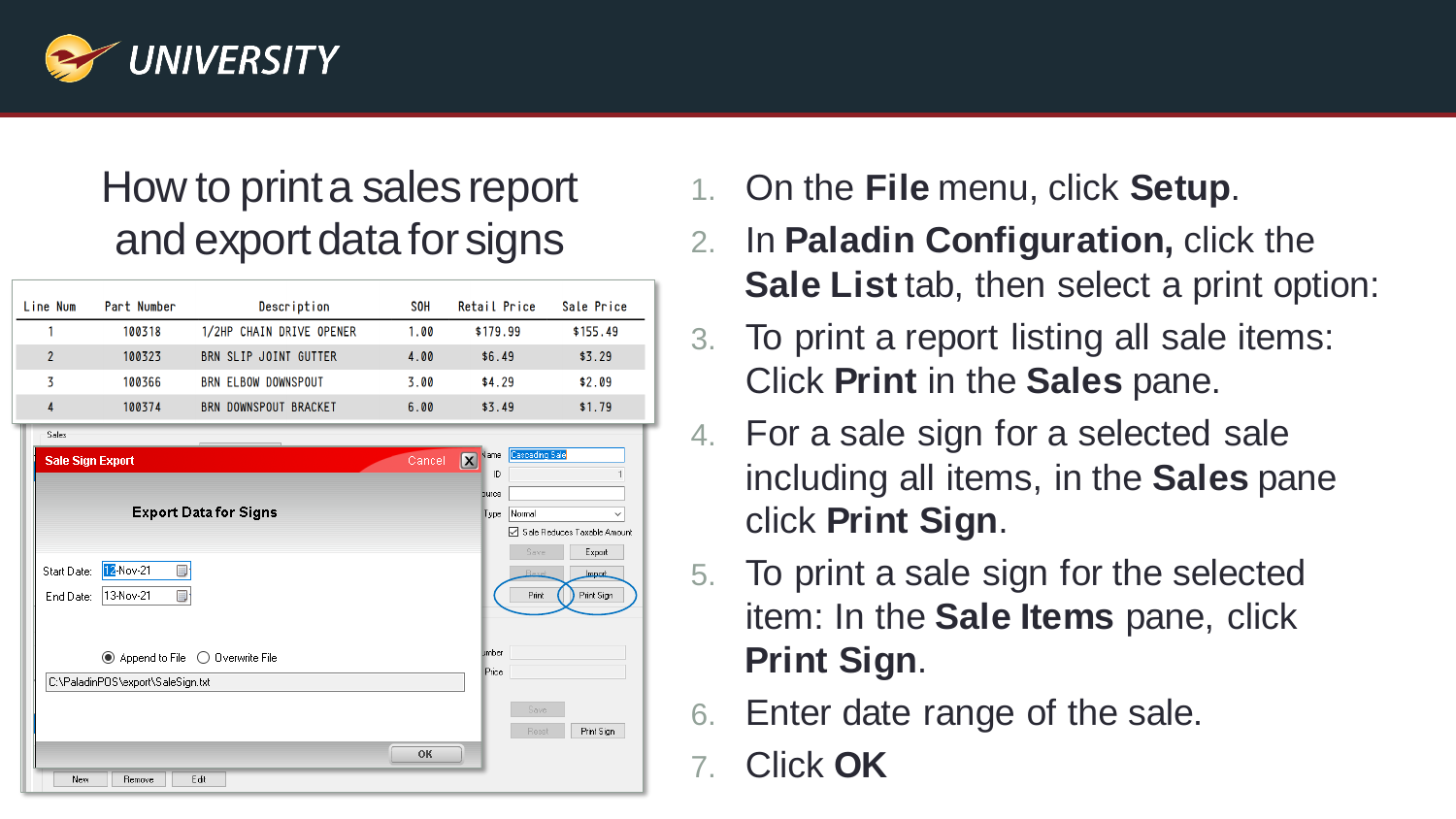

#### How to print a sales report and export data for signs

| Line Num                 | Part Number                                                                                                                   | Description                  | <b>SOH</b> | Retail Price                                         | Sale Price                  |
|--------------------------|-------------------------------------------------------------------------------------------------------------------------------|------------------------------|------------|------------------------------------------------------|-----------------------------|
| 1                        | 100318                                                                                                                        | 1/2HP CHAIN DRIVE OPENER     | 1.00       | \$179.99                                             | \$155.49                    |
| $\overline{\phantom{a}}$ | 100323                                                                                                                        | BRN SLIP JOINT GUTTER        | 4.00       | \$6.49                                               | \$3.29                      |
| 3                        | 100366                                                                                                                        | <b>BRN ELBOW DOWNSPOUT</b>   | 3.00       | \$4.29                                               | \$2.09                      |
| 4                        | 100374                                                                                                                        | BRN DOWNSPOUT BRACKET        | 6.00       | \$3.49                                               | \$1.79                      |
| Sales                    |                                                                                                                               |                              |            |                                                      |                             |
| <b>Sale Sign Export</b>  |                                                                                                                               |                              | Cancel     | Cascading Sale<br>Vame<br>$\boxed{\mathbf{x}}$<br>ID |                             |
|                          |                                                                                                                               |                              |            | purce                                                |                             |
|                          |                                                                                                                               | <b>Export Data for Signs</b> |            | Normal<br>Type                                       |                             |
|                          |                                                                                                                               |                              |            |                                                      | Sale Reduces Taxable Amount |
| Start Date:              | 12-Nov-21<br>画                                                                                                                |                              |            | Save<br>Recei                                        | Export                      |
| End Date:                | 画<br>13-Nov-21                                                                                                                |                              |            | Print                                                | Import<br>Print Sign        |
|                          |                                                                                                                               |                              |            |                                                      |                             |
|                          |                                                                                                                               |                              |            |                                                      |                             |
|                          | $\textcircled{\textcircled{\small{\textsf{Append}}}}$ to File $\textcircled{\textcircled{\small{\textsf{1}}}}$ Dverwrite File |                              |            | umber<br>Price                                       |                             |
|                          | C:\PaladinPOS\export\SaleSign.txt                                                                                             |                              |            |                                                      |                             |
|                          |                                                                                                                               |                              |            | Save                                                 |                             |
|                          |                                                                                                                               |                              |            | Reset                                                | Print Sign                  |
|                          |                                                                                                                               |                              | <b>OK</b>  |                                                      |                             |
| New                      | Remove                                                                                                                        | Edit                         |            |                                                      |                             |

- 1. On the **File** menu, click **Setup**.
- 2. In **Paladin Configuration,** click the **Sale List** tab, then select a print option:
- 3. To print a report listing all sale items: Click **Print** in the **Sales** pane.
- 4. For a sale sign for a selected sale including all items, in the **Sales** pane click **Print Sign**.
- 5. To print a sale sign for the selected item: In the **Sale Items** pane, click **Print Sign**.
- 6. Enter date range of the sale.
- 7. Click **OK**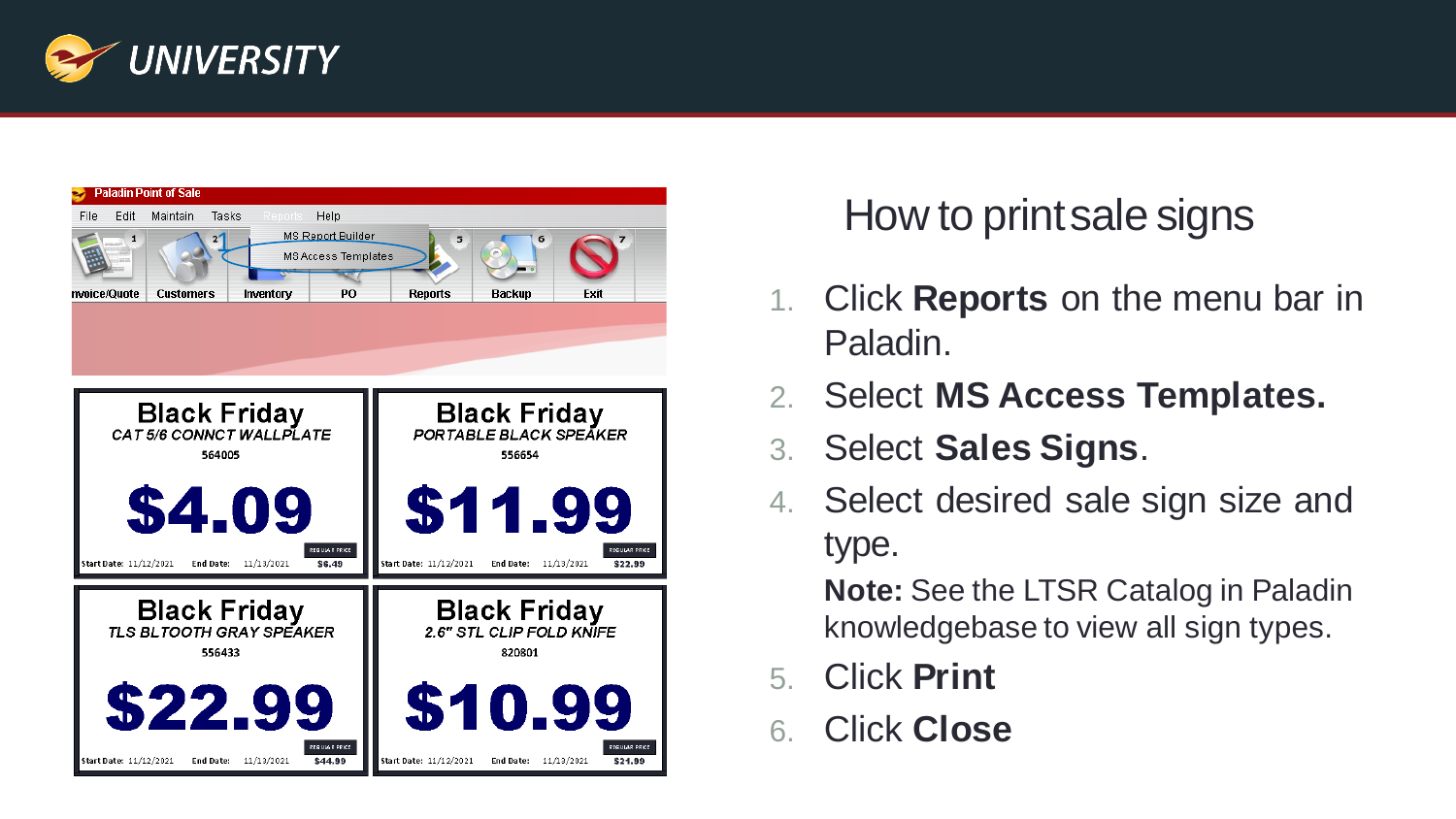



#### How to print sale signs

- 1. Click **Reports** on the menu bar in Paladin.
- 2. Select **MS Access Templates.**
- 3. Select **Sales Signs** .
- 4. Select desired sale sign size and type.

**Note:** See the LTSR Catalog in Paladin knowledgebase to view all sign types.

- 5. Click **Print**
- 6. Click **Close**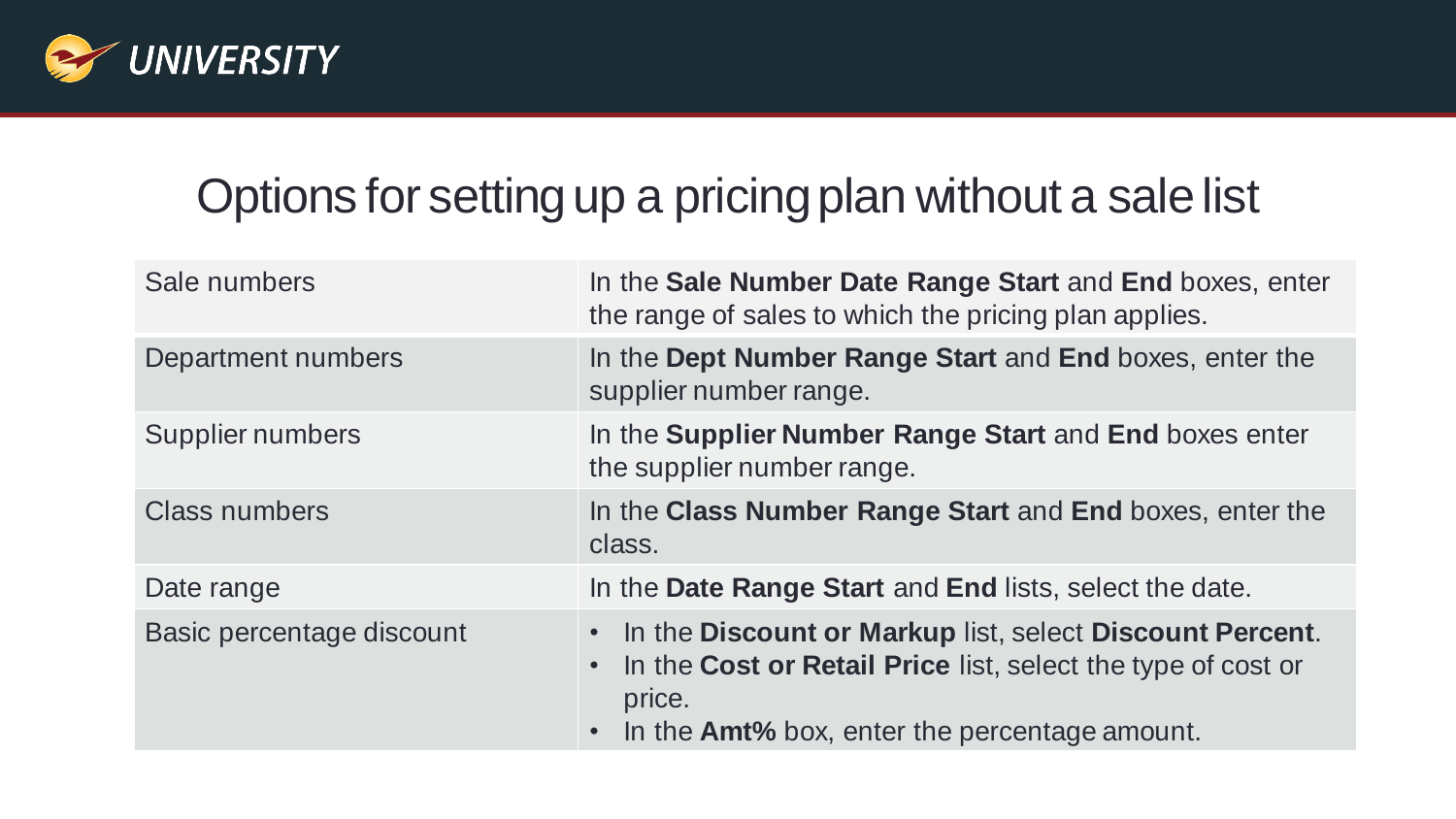

## Options for setting up a pricing plan without a sale list

| Sale numbers              | In the Sale Number Date Range Start and End boxes, enter<br>the range of sales to which the pricing plan applies.                                                                                                                 |
|---------------------------|-----------------------------------------------------------------------------------------------------------------------------------------------------------------------------------------------------------------------------------|
| Department numbers        | In the Dept Number Range Start and End boxes, enter the<br>supplier number range.                                                                                                                                                 |
| Supplier numbers          | In the Supplier Number Range Start and End boxes enter<br>the supplier number range.                                                                                                                                              |
| <b>Class numbers</b>      | In the Class Number Range Start and End boxes, enter the<br>class.                                                                                                                                                                |
| Date range                | In the Date Range Start and End lists, select the date.                                                                                                                                                                           |
| Basic percentage discount | In the Discount or Markup list, select Discount Percent.<br>$\bullet$<br>In the Cost or Retail Price list, select the type of cost or<br>$\bullet$<br>price.<br>In the <b>Amt%</b> box, enter the percentage amount.<br>$\bullet$ |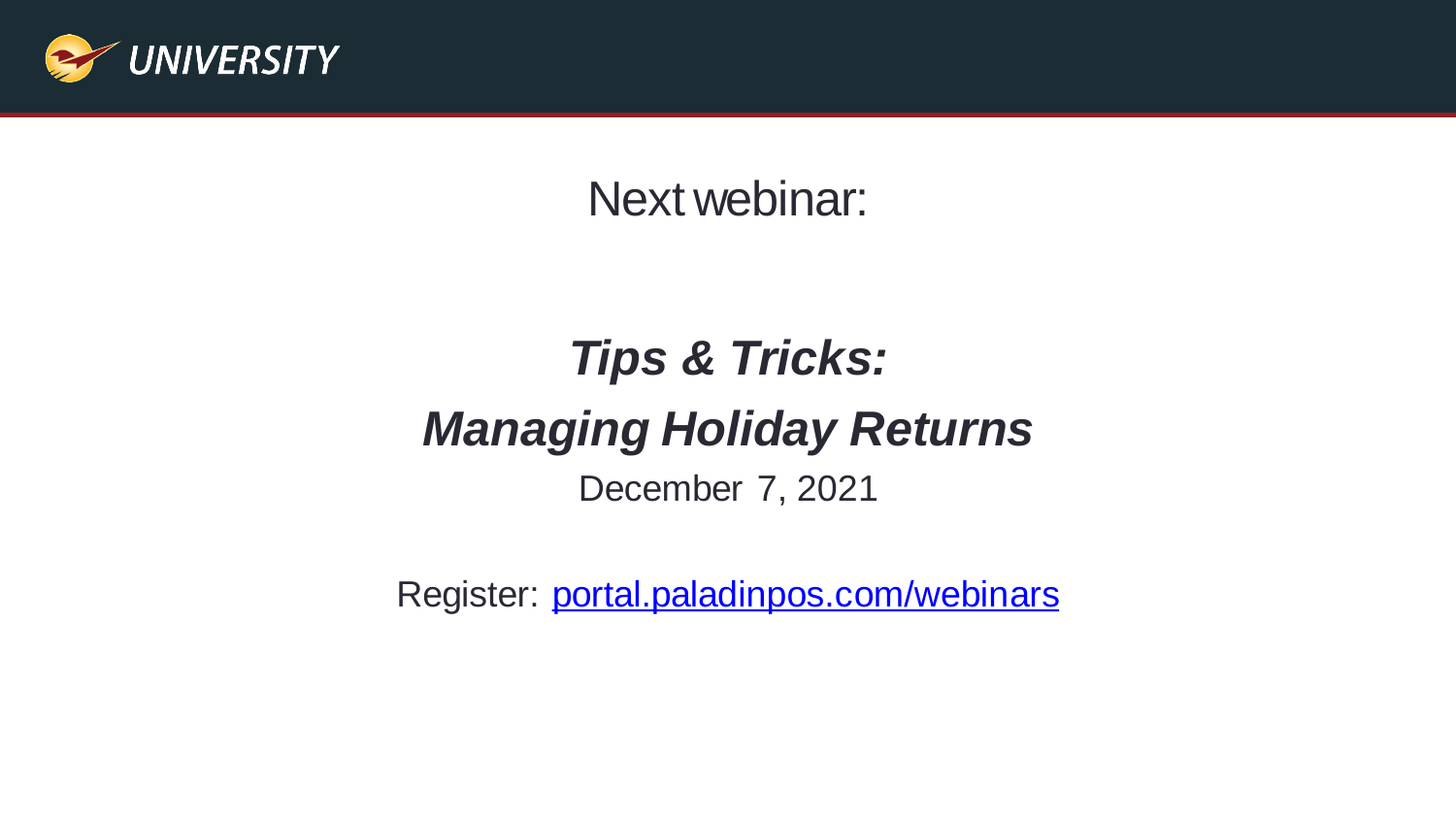

Next webinar:

## *Tips & Tricks: Managing Holiday Returns* December 7, 2021

Register: [portal.paladinpos.com/webinars](https://portal.paladinpos.com/webinars)